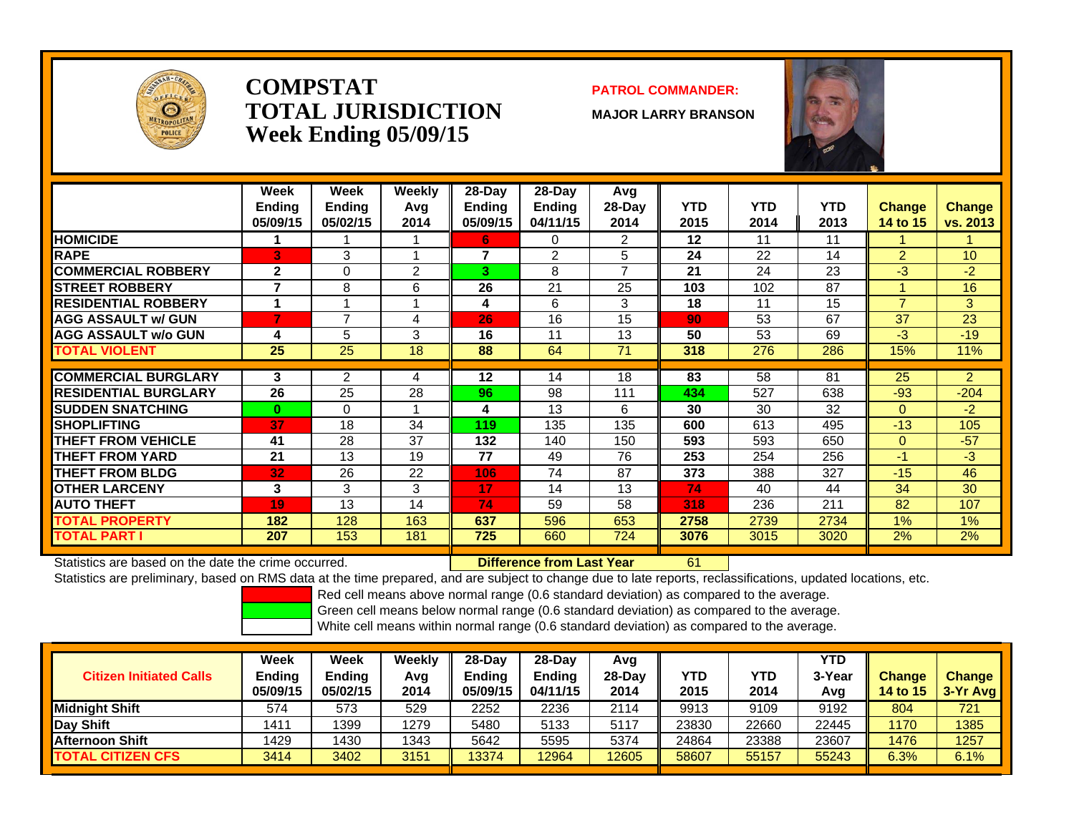

### **COMPSTATTOTAL JURISDICTIONWeek Ending 05/09/15**

### **PATROL COMMANDER:**

**MAJOR LARRY BRANSON**

61



|                             | Week<br><b>Ending</b><br>05/09/15 | <b>Week</b><br><b>Ending</b><br>05/02/15 | <b>Weekly</b><br>Avq<br>2014 | 28-Dav<br><b>Endina</b><br>05/09/15 | $28-Day$<br>Ending<br>04/11/15 | Avg<br>28-Day<br>2014 | <b>YTD</b><br>2015 | YTD<br>2014 | <b>YTD</b><br>2013 | <b>Change</b><br>14 to 15 | <b>Change</b><br>vs. 2013 |
|-----------------------------|-----------------------------------|------------------------------------------|------------------------------|-------------------------------------|--------------------------------|-----------------------|--------------------|-------------|--------------------|---------------------------|---------------------------|
| <b>HOMICIDE</b>             |                                   |                                          |                              | 6                                   | 0                              | 2                     | $12 \,$            | 11          | 11                 |                           | 1                         |
| <b>RAPE</b>                 | 3                                 | 3                                        |                              | $\overline{7}$                      | 2                              | 5                     | 24                 | 22          | 14                 | $\overline{2}$            | 10 <sup>°</sup>           |
| <b>COMMERCIAL ROBBERY</b>   | $\mathbf{2}$                      | 0                                        | 2                            | 3                                   | 8                              | $\overline{7}$        | 21                 | 24          | 23                 | $-3$                      | $-2$                      |
| <b>STREET ROBBERY</b>       | 7                                 | 8                                        | 6                            | 26                                  | 21                             | 25                    | 103                | 102         | 87                 |                           | 16                        |
| <b>RESIDENTIAL ROBBERY</b>  |                                   |                                          |                              | 4                                   | 6                              | 3                     | 18                 | 11          | 15                 | $\overline{ }$            | 3                         |
| <b>AGG ASSAULT w/ GUN</b>   | 7                                 | 7                                        | 4                            | 26                                  | 16                             | 15                    | 90                 | 53          | 67                 | 37                        | 23                        |
| <b>AGG ASSAULT w/o GUN</b>  | 4                                 | 5                                        | 3                            | 16                                  | 11                             | 13                    | 50                 | 53          | 69                 | $-3$                      | $-19$                     |
| <b>TOTAL VIOLENT</b>        | 25                                | 25                                       | 18                           | 88                                  | 64                             | 71                    | 318                | 276         | 286                | 15%                       | 11%                       |
|                             |                                   |                                          |                              |                                     |                                |                       |                    |             |                    |                           |                           |
| <b>COMMERCIAL BURGLARY</b>  | 3                                 | $\overline{2}$                           | 4                            | 12                                  | 14                             | 18                    | 83                 | 58          | 81                 | 25                        | $\overline{2}$            |
| <b>RESIDENTIAL BURGLARY</b> | 26                                | 25                                       | 28                           | 96                                  | 98                             | 111                   | 434                | 527         | 638                | $-93$                     | $-204$                    |
| <b>SUDDEN SNATCHING</b>     | $\bf{0}$                          | 0                                        |                              | 4                                   | 13                             | 6                     | 30                 | 30          | 32                 | $\Omega$                  | $-2$                      |
| <b>ISHOPLIFTING</b>         | 37                                | 18                                       | 34                           | 119                                 | 135                            | 135                   | 600                | 613         | 495                | $-13$                     | 105                       |
| <b>THEFT FROM VEHICLE</b>   | 41                                | 28                                       | 37                           | 132                                 | 140                            | 150                   | 593                | 593         | 650                | $\Omega$                  | $-57$                     |
| <b>THEFT FROM YARD</b>      | 21                                | 13                                       | 19                           | 77                                  | 49                             | 76                    | 253                | 254         | 256                | $-1$                      | $-3$                      |
| <b>THEFT FROM BLDG</b>      | 32                                | 26                                       | 22                           | 106                                 | 74                             | 87                    | 373                | 388         | 327                | $-15$                     | 46                        |
| <b>OTHER LARCENY</b>        | 3                                 | 3                                        | 3                            | 17                                  | 14                             | 13                    | 74                 | 40          | 44                 | 34                        | 30                        |
| <b>AUTO THEFT</b>           | 19                                | 13                                       | 14                           | 74                                  | 59                             | 58                    | 318                | 236         | 211                | 82                        | 107                       |
| <b>TOTAL PROPERTY</b>       | 182                               | 128                                      | 163                          | 637                                 | 596                            | 653                   | 2758               | 2739        | 2734               | 1%                        | 1%                        |
| <b>TOTAL PART I</b>         | 207                               | 153                                      | 181                          | 725                                 | 660                            | 724                   | 3076               | 3015        | 3020               | 2%                        | 2%                        |

Statistics are based on the date the crime occurred. **Difference from Last Year** 

Statistics are preliminary, based on RMS data at the time prepared, and are subject to change due to late reports, reclassifications, updated locations, etc.

Red cell means above normal range (0.6 standard deviation) as compared to the average.

Green cell means below normal range (0.6 standard deviation) as compared to the average.

| <b>Citizen Initiated Calls</b> | Week<br>Ending<br>05/09/15 | Week<br><b>Endina</b><br>05/02/15 | Weekly<br>Avg<br>2014 | 28-Dav<br>Endina<br>05/09/15 | $28-Dav$<br><b>Endina</b><br>04/11/15 | Avg<br>28-Day<br>2014 | YTD<br>2015 | YTD<br>2014 | <b>YTD</b><br>3-Year<br>Avg | <b>Change</b><br><b>14 to 15</b> | <b>Change</b><br>3-Yr Avg |
|--------------------------------|----------------------------|-----------------------------------|-----------------------|------------------------------|---------------------------------------|-----------------------|-------------|-------------|-----------------------------|----------------------------------|---------------------------|
| <b>IMidniaht Shift</b>         | 574                        | 573                               | 529                   | 2252                         | 2236                                  | 2114                  | 9913        | 9109        | 9192                        | 804                              | 721                       |
| Day Shift                      | 1411                       | 1399                              | 1279                  | 5480                         | 5133                                  | 5117                  | 23830       | 22660       | 22445                       | 1170                             | 1385                      |
| <b>IAfternoon Shift</b>        | 1429                       | 1430                              | 1343                  | 5642                         | 5595                                  | 5374                  | 24864       | 23388       | 23607                       | 1476                             | 1257                      |
| <b>TOTAL CITIZEN CFS</b>       | 3414                       | 3402                              | 3151                  | 13374                        | 12964                                 | 12605                 | 58607       | 55157       | 55243                       | 6.3%                             | 6.1%                      |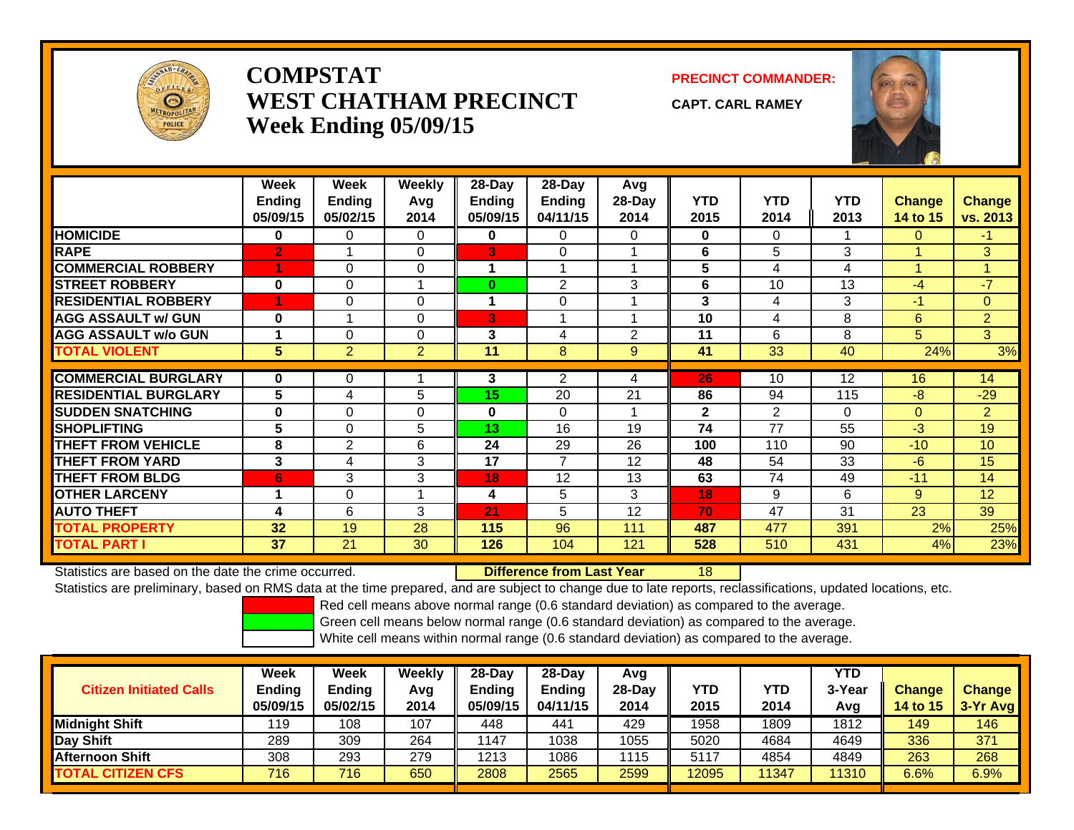

## **COMPSTATWEST CHATHAM PRECINCTWeek Ending 05/09/15**

**PRECINCT COMMANDER:**

**CAPT. CARL RAMEY**

18



|                             | Week<br><b>Ending</b><br>05/09/15 | Week<br><b>Ending</b><br>05/02/15 | Weekly<br>Avq<br>2014 | $28-Day$<br>Ending<br>05/09/15 | $28-Day$<br><b>Ending</b><br>04/11/15 | Avg<br>28-Day<br>2014 | <b>YTD</b><br>2015 | <b>YTD</b><br>2014 | <b>YTD</b><br>2013 | <b>Change</b><br>14 to 15 | <b>Change</b><br>vs. 2013 |
|-----------------------------|-----------------------------------|-----------------------------------|-----------------------|--------------------------------|---------------------------------------|-----------------------|--------------------|--------------------|--------------------|---------------------------|---------------------------|
| <b>HOMICIDE</b>             | 0                                 | 0                                 | $\Omega$              | 0                              | 0                                     | 0                     | 0                  | 0                  |                    | 0                         | -1                        |
| <b>RAPE</b>                 | $\overline{2}$                    |                                   | $\Omega$              | 3                              | 0                                     |                       | 6                  | 5                  | 3                  |                           | 3                         |
| <b>COMMERCIAL ROBBERY</b>   |                                   | $\Omega$                          | $\Omega$              | 1                              |                                       |                       | 5                  | 4                  | 4                  |                           | $\overline{A}$            |
| <b>STREET ROBBERY</b>       | $\bf{0}$                          | $\Omega$                          |                       | $\bf{0}$                       | 2                                     | 3                     | 6                  | 10                 | 13                 | $-4$                      | $-7$                      |
| <b>RESIDENTIAL ROBBERY</b>  |                                   | 0                                 | $\Omega$              | 1                              | $\Omega$                              |                       | 3                  | 4                  | 3                  | $-1$                      | $\mathbf{0}$              |
| <b>AGG ASSAULT w/ GUN</b>   | $\bf{0}$                          |                                   | $\Omega$              | 3                              |                                       |                       | 10                 | 4                  | 8                  | 6                         | $\overline{2}$            |
| <b>AGG ASSAULT w/o GUN</b>  |                                   | $\Omega$                          | $\Omega$              | 3                              | 4                                     | 2                     | 11                 | 6                  | 8                  | 5                         | 3                         |
| <b>TOTAL VIOLENT</b>        | 5                                 | $\overline{2}$                    | 2                     | 11                             | 8                                     | 9                     | 41                 | 33                 | 40                 | 24%                       | 3%                        |
|                             |                                   |                                   |                       |                                |                                       |                       |                    |                    |                    |                           |                           |
| <b>COMMERCIAL BURGLARY</b>  | $\bf{0}$                          | $\Omega$                          |                       | 3                              | 2                                     | 4                     | 26                 | 10                 | 12                 | 16                        | 14                        |
| <b>RESIDENTIAL BURGLARY</b> | 5                                 | 4                                 | 5                     | 15                             | 20                                    | 21                    | 86                 | 94                 | 115                | -8                        | $-29$                     |
| <b>SUDDEN SNATCHING</b>     | 0                                 | $\Omega$                          | $\Omega$              | $\mathbf{0}$                   | $\Omega$                              |                       | $\mathbf{2}$       | $\overline{2}$     | $\Omega$           | $\Omega$                  | $\overline{2}$            |
| <b>SHOPLIFTING</b>          | 5                                 | $\Omega$                          | 5                     | 13                             | 16                                    | 19                    | 74                 | 77                 | 55                 | $-3$                      | 19                        |
| THEFT FROM VEHICLE          | 8                                 | $\overline{2}$                    | 6                     | 24                             | 29                                    | 26                    | 100                | 110                | 90                 | $-10$                     | 10                        |
| <b>THEFT FROM YARD</b>      | 3                                 | 4                                 | 3                     | 17                             | $\overline{7}$                        | 12                    | 48                 | 54                 | 33                 | $-6$                      | 15                        |
| <b>THEFT FROM BLDG</b>      | 6                                 | 3                                 | 3                     | 18                             | 12                                    | 13                    | 63                 | 74                 | 49                 | $-11$                     | 14                        |
| <b>OTHER LARCENY</b>        | 1                                 | 0                                 |                       | 4                              | 5                                     | 3                     | 18                 | 9                  | 6                  | 9                         | 12                        |
| <b>AUTO THEFT</b>           | 4                                 | 6                                 | 3                     | 21                             | 5                                     | 12                    | 70                 | 47                 | 31                 | 23                        | 39                        |
| <b>TOTAL PROPERTY</b>       | 32                                | 19                                | 28                    | 115                            | 96                                    | 111                   | 487                | 477                | 391                | 2%                        | 25%                       |
| <b>TOTAL PART I</b>         | 37                                | 21                                | 30                    | 126                            | 104                                   | 121                   | 528                | 510                | 431                | 4%                        | 23%                       |

Statistics are based on the date the crime occurred. **Difference from Last Year** 

Statistics are preliminary, based on RMS data at the time prepared, and are subject to change due to late reports, reclassifications, updated locations, etc.

Red cell means above normal range (0.6 standard deviation) as compared to the average.

Green cell means below normal range (0.6 standard deviation) as compared to the average.

| <b>Citizen Initiated Calls</b> | <b>Week</b><br><b>Ending</b><br>05/09/15 | <b>Week</b><br><b>Ending</b><br>05/02/15 | Weekly<br>Avg<br>2014 | $28$ -Dav<br><b>Ending</b><br>05/09/15 | $28-Dav$<br><b>Ending</b><br>04/11/15 | Avg<br>28-Dav<br>2014 | YTD<br>2015 | YTD<br>2014 | YTD<br>3-Year<br>Avg | <b>Change</b><br><b>14 to 15</b> | <b>Change</b><br>$3-Yr$ Avg |
|--------------------------------|------------------------------------------|------------------------------------------|-----------------------|----------------------------------------|---------------------------------------|-----------------------|-------------|-------------|----------------------|----------------------------------|-----------------------------|
| <b>Midnight Shift</b>          | 119                                      | 108                                      | 107                   | 448                                    | 441                                   | 429                   | 1958        | 1809        | 1812                 | 149                              | 146                         |
| Day Shift                      | 289                                      | 309                                      | 264                   | 1147                                   | 1038                                  | 1055                  | 5020        | 4684        | 4649                 | 336                              | 371                         |
| Afternoon Shift                | 308                                      | 293                                      | 279                   | 1213                                   | 1086                                  | 1115                  | 5117        | 4854        | 4849                 | 263                              | 268                         |
| <b>TOTAL CITIZEN CFS</b>       | 716                                      | 716                                      | 650                   | 2808                                   | 2565                                  | 2599                  | 12095       | 1347        | 11310                | $6.6\%$                          | 6.9%                        |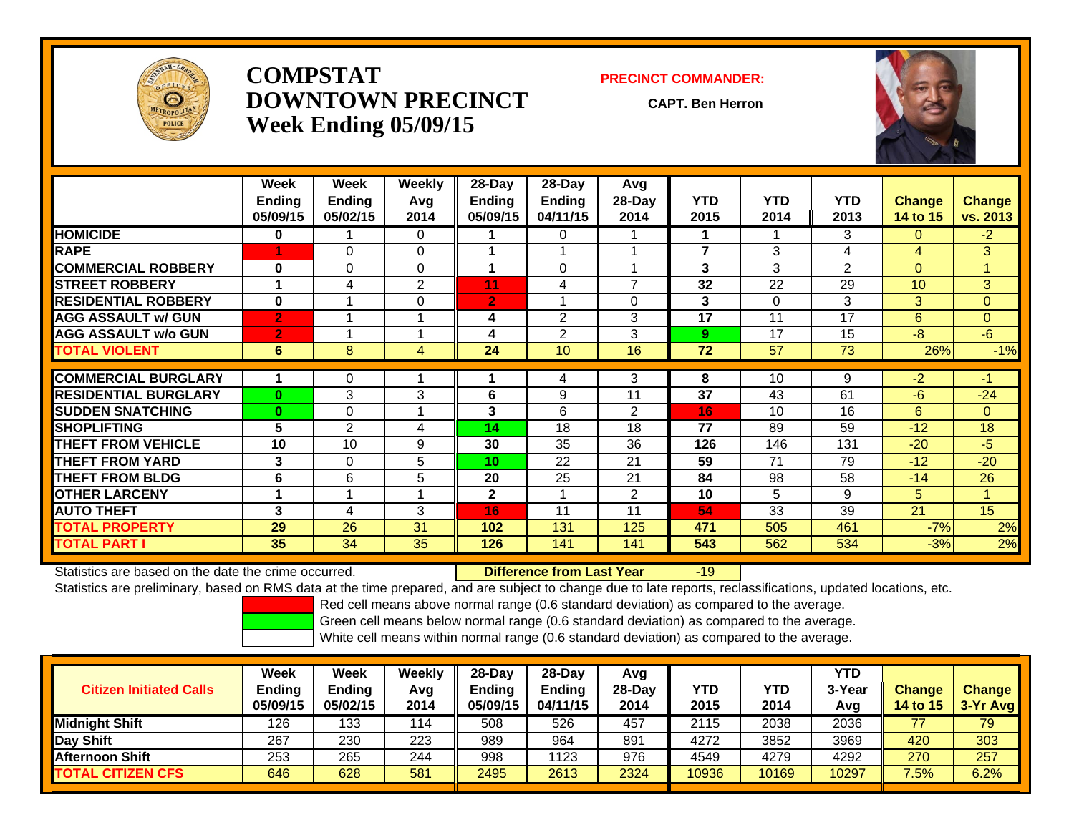

## **COMPSTATDOWNTOWN PRECINCTWeek Ending 05/09/15**

#### **PRECINCT COMMANDER:**

**CAPT. Ben Herron**

-19



|                             | Week<br><b>Ending</b><br>05/09/15 | Week<br><b>Ending</b><br>05/02/15 | <b>Weekly</b><br>Avq<br>2014 | $28-Day$<br><b>Ending</b><br>05/09/15 | 28-Day<br>Ending<br>04/11/15 | Avg<br>$28$ -Day<br>2014 | <b>YTD</b><br>2015 | <b>YTD</b><br>2014 | <b>YTD</b><br>2013 | <b>Change</b><br>14 to 15 | <b>Change</b><br>vs. 2013 |
|-----------------------------|-----------------------------------|-----------------------------------|------------------------------|---------------------------------------|------------------------------|--------------------------|--------------------|--------------------|--------------------|---------------------------|---------------------------|
| <b>HOMICIDE</b>             | 0                                 |                                   | $\Omega$                     |                                       | 0                            |                          | 1                  |                    | 3                  | 0                         | $-2$                      |
| <b>RAPE</b>                 |                                   | 0                                 | $\Omega$                     |                                       |                              |                          | $\overline{7}$     | 3                  | 4                  | 4                         | 3                         |
| <b>COMMERCIAL ROBBERY</b>   | $\bf{0}$                          | $\Omega$                          | $\Omega$                     |                                       | $\Omega$                     |                          | 3                  | 3                  | 2                  | $\Omega$                  | и                         |
| <b>STREET ROBBERY</b>       | 1                                 | 4                                 | $\overline{2}$               | 11                                    | 4                            | $\overline{ }$           | 32                 | 22                 | 29                 | 10                        | 3                         |
| <b>RESIDENTIAL ROBBERY</b>  | $\bf{0}$                          |                                   | $\Omega$                     | $\overline{2}$                        |                              | 0                        | 3                  | 0                  | 3                  | 3                         | $\Omega$                  |
| <b>AGG ASSAULT w/ GUN</b>   | 2'                                |                                   |                              | 4                                     | $\mathfrak{p}$               | 3                        | 17                 | 11                 | 17                 | 6                         | $\Omega$                  |
| <b>AGG ASSAULT w/o GUN</b>  | $\mathbf{2}$                      |                                   |                              | 4                                     | $\overline{2}$               | 3                        | 9                  | 17                 | 15                 | $-8$                      | $-6$                      |
| <b>TOTAL VIOLENT</b>        | 6                                 | 8                                 | 4                            | 24                                    | 10                           | 16                       | 72                 | 57                 | 73                 | 26%                       | $-1%$                     |
|                             |                                   |                                   |                              |                                       |                              |                          |                    |                    |                    |                           |                           |
| <b>COMMERCIAL BURGLARY</b>  |                                   | 0                                 |                              |                                       | 4                            | 3                        | 8                  | 10                 | 9                  | $-2$                      | $-1$                      |
| <b>RESIDENTIAL BURGLARY</b> | $\mathbf{0}$                      | 3                                 | 3                            | 6                                     | 9                            | 11                       | 37                 | 43                 | 61                 | $-6$                      | $-24$                     |
| <b>SUDDEN SNATCHING</b>     | $\mathbf{0}$                      | $\Omega$                          |                              | 3                                     | 6                            | $\overline{2}$           | 16                 | 10                 | 16                 | 6                         | $\Omega$                  |
| <b>SHOPLIFTING</b>          | 5                                 | $\overline{2}$                    | 4                            | 14                                    | 18                           | 18                       | 77                 | 89                 | 59                 | $-12$                     | 18                        |
| <b>THEFT FROM VEHICLE</b>   | 10                                | 10                                | 9                            | 30                                    | 35                           | 36                       | 126                | 146                | 131                | $-20$                     | -5                        |
| <b>THEFT FROM YARD</b>      | 3                                 | $\Omega$                          | 5                            | 10                                    | 22                           | 21                       | 59                 | 71                 | 79                 | $-12$                     | $-20$                     |
| <b>THEFT FROM BLDG</b>      | 6                                 | 6                                 | 5                            | 20                                    | 25                           | 21                       | 84                 | 98                 | 58                 | $-14$                     | 26                        |
| <b>OTHER LARCENY</b>        | 1                                 | 4                                 |                              | $\mathbf{2}$                          |                              | $\overline{2}$           | 10                 | 5.                 | 9                  | 5.                        | и                         |
| <b>AUTO THEFT</b>           | 3                                 | 4                                 | 3                            | 16                                    | 11                           | 11                       | 54                 | 33                 | 39                 | 21                        | 15                        |
| <b>TOTAL PROPERTY</b>       | 29                                | 26                                | 31                           | 102                                   | 131                          | 125                      | 471                | 505                | 461                | $-7%$                     | 2%                        |
| <b>TOTAL PART I</b>         | 35                                | 34                                | 35                           | 126                                   | 141                          | 141                      | 543                | 562                | 534                | $-3%$                     | 2%                        |

Statistics are based on the date the crime occurred. **Difference from Last Year** 

Statistics are preliminary, based on RMS data at the time prepared, and are subject to change due to late reports, reclassifications, updated locations, etc.

Red cell means above normal range (0.6 standard deviation) as compared to the average.

Green cell means below normal range (0.6 standard deviation) as compared to the average.

| <b>Citizen Initiated Calls</b> | Week<br>Ending<br>05/09/15 | Week<br><b>Ending</b><br>05/02/15 | Weekly<br>Avg<br>2014 | $28$ -Day<br>Endina<br>05/09/15 | $28-Day$<br><b>Ending</b><br>04/11/15 | Avg<br>$28$ -Day<br>2014 | YTD<br>2015 | YTD<br>2014 | YTD<br>3-Year<br>Avg | <b>Change</b><br><b>14 to 15</b> | <b>Change</b><br>$3-Yr$ Avg |
|--------------------------------|----------------------------|-----------------------------------|-----------------------|---------------------------------|---------------------------------------|--------------------------|-------------|-------------|----------------------|----------------------------------|-----------------------------|
| <b>Midnight Shift</b>          | 126                        | 133                               | 114                   | 508                             | 526                                   | 457                      | 2115        | 2038        | 2036                 | 77                               | 79                          |
| <b>Day Shift</b>               | 267                        | 230                               | 223                   | 989                             | 964                                   | 891                      | 4272        | 3852        | 3969                 | 420                              | 303                         |
| IAfternoon Shift               | 253                        | 265                               | 244                   | 998                             | 1123                                  | 976                      | 4549        | 4279        | 4292                 | 270                              | 257                         |
| <b>TOTAL CITIZEN CFS</b>       | 646                        | 628                               | 581                   | 2495                            | 2613                                  | 2324                     | 10936       | 10169       | 10297                | $7.5\%$                          | 6.2%                        |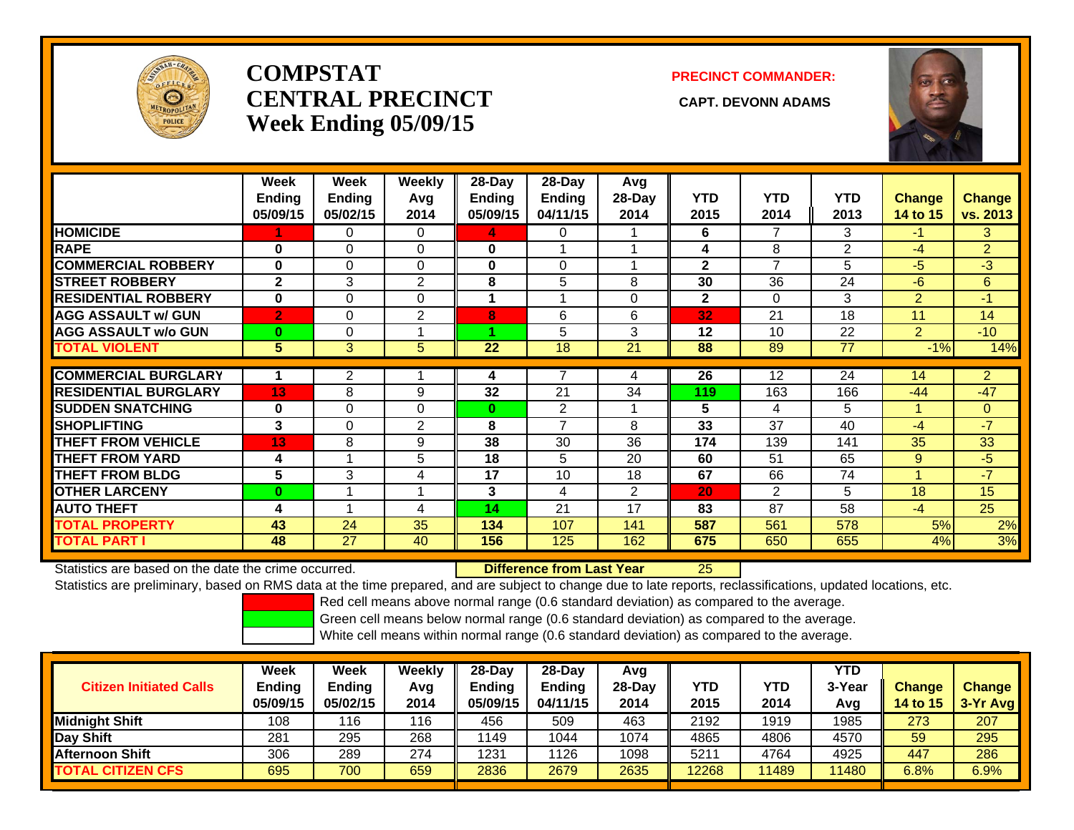

# **COMPSTATCENTRAL PRECINCT** CAPT. DEVONN ADAMS **Week Ending 05/09/15**

### **PRECINCT COMMANDER:**



|                             | Week<br><b>Ending</b><br>05/09/15 | Week<br><b>Ending</b><br>05/02/15 | <b>Weekly</b><br>Avg<br>2014 | 28-Day<br>Ending<br>05/09/15 | 28-Day<br>Ending<br>04/11/15 | Avg<br>28-Day<br>2014 | <b>YTD</b><br>2015 | <b>YTD</b><br>2014 | <b>YTD</b><br>2013 | <b>Change</b><br>14 to 15 | <b>Change</b><br>vs. 2013 |
|-----------------------------|-----------------------------------|-----------------------------------|------------------------------|------------------------------|------------------------------|-----------------------|--------------------|--------------------|--------------------|---------------------------|---------------------------|
| <b>HOMICIDE</b>             |                                   | 0                                 | 0                            | 4                            | 0                            |                       | 6                  | 7                  | 3                  | -1                        | 3                         |
| <b>RAPE</b>                 | $\bf{0}$                          | $\Omega$                          | $\Omega$                     | $\bf{0}$                     |                              |                       | 4                  | 8                  | $\overline{2}$     | $-4$                      | $\overline{2}$            |
| <b>COMMERCIAL ROBBERY</b>   | $\bf{0}$                          | $\Omega$                          | $\Omega$                     | $\bf{0}$                     | $\Omega$                     |                       | $\overline{2}$     | $\overline{7}$     | 5                  | $-5$                      | $-3$                      |
| <b>STREET ROBBERY</b>       | $\mathbf{2}$                      | 3                                 | 2                            | 8                            | 5                            | 8                     | 30                 | 36                 | 24                 | $-6$                      | 6                         |
| <b>RESIDENTIAL ROBBERY</b>  | $\bf{0}$                          | $\Omega$                          | $\Omega$                     |                              |                              | $\Omega$              | $\mathbf{2}$       | $\Omega$           | 3                  | $\overline{2}$            | $-1$                      |
| <b>AGG ASSAULT w/ GUN</b>   | $\overline{2}$                    | $\mathbf 0$                       | 2                            | 8                            | 6                            | 6                     | 32                 | 21                 | 18                 | 11                        | 14                        |
| <b>AGG ASSAULT w/o GUN</b>  | $\mathbf{0}$                      | $\Omega$                          |                              |                              | 5                            | 3                     | 12                 | 10                 | 22                 | $\overline{2}$            | $-10$                     |
| <b>TOTAL VIOLENT</b>        | 5                                 | 3                                 | 5                            | 22                           | 18                           | 21                    | 88                 | 89                 | 77                 | $-1%$                     | 14%                       |
|                             |                                   |                                   |                              |                              |                              |                       |                    |                    |                    |                           |                           |
| <b>COMMERCIAL BURGLARY</b>  |                                   | $\mathbf{2}$                      |                              | 4                            |                              | 4                     | 26                 | 12                 | 24                 | 14                        | $\overline{2}$            |
| <b>RESIDENTIAL BURGLARY</b> | 13                                | 8                                 | 9                            | 32                           | 21                           | 34                    | 119                | 163                | 166                | $-44$                     | $-47$                     |
| <b>SUDDEN SNATCHING</b>     | $\bf{0}$                          | $\Omega$                          | $\Omega$                     | $\bf{0}$                     | $\overline{2}$               |                       | 5                  | 4                  | 5                  |                           | $\mathbf{0}$              |
| <b>SHOPLIFTING</b>          | 3                                 | $\Omega$                          | $\overline{2}$               | 8                            | 7                            | 8                     | 33                 | 37                 | 40                 | $-4$                      | $-7$                      |
| <b>THEFT FROM VEHICLE</b>   | 13                                | 8                                 | 9                            | 38                           | 30                           | 36                    | 174                | 139                | 141                | 35                        | 33                        |
| <b>THEFT FROM YARD</b>      | 4                                 |                                   | 5                            | 18                           | 5                            | 20                    | 60                 | 51                 | 65                 | 9                         | $-5$                      |
| <b>THEFT FROM BLDG</b>      | 5                                 | 3                                 | 4                            | 17                           | 10                           | 18                    | 67                 | 66                 | 74                 |                           | $-7$                      |
| <b>OTHER LARCENY</b>        | $\bf{0}$                          |                                   |                              | 3                            | 4                            | $\overline{2}$        | 20                 | $\overline{2}$     | 5                  | 18                        | 15                        |
| <b>AUTO THEFT</b>           | 4                                 |                                   | 4                            | 14                           | 21                           | 17                    | 83                 | 87                 | 58                 | $-4$                      | 25                        |
| <b>TOTAL PROPERTY</b>       | 43                                | 24                                | 35                           | 134                          | 107                          | 141                   | 587                | 561                | 578                | 5%                        | 2%                        |
| <b>TOTAL PART I</b>         | 48                                | 27                                | 40                           | 156                          | 125                          | 162                   | 675                | 650                | 655                | 4%                        | 3%                        |

Statistics are based on the date the crime occurred. **Difference from Last Year** 

25

Statistics are preliminary, based on RMS data at the time prepared, and are subject to change due to late reports, reclassifications, updated locations, etc.

Red cell means above normal range (0.6 standard deviation) as compared to the average.

Green cell means below normal range (0.6 standard deviation) as compared to the average.

| <b>Citizen Initiated Calls</b> | Week<br><b>Ending</b><br>05/09/15 | <b>Week</b><br>Ending<br>05/02/15 | Weekly<br>Avg<br>2014 | $28$ -Dav<br>Ending<br>05/09/15 | $28-Day$<br><b>Ending</b><br>04/11/15 | Avg<br>$28-Dav$<br>2014 | YTD<br>2015 | YTD<br>2014 | YTD.<br>3-Year<br>Avg | <b>Change</b><br><b>14 to 15</b> | <b>Change</b><br>3-Yr Avg |
|--------------------------------|-----------------------------------|-----------------------------------|-----------------------|---------------------------------|---------------------------------------|-------------------------|-------------|-------------|-----------------------|----------------------------------|---------------------------|
| Midnight Shift                 | 108                               | 116                               | 116                   | 456                             | 509                                   | 463                     | 2192        | 1919        | 1985                  | 273                              | 207                       |
| Day Shift                      | 281                               | 295                               | 268                   | 1149                            | 1044                                  | 1074                    | 4865        | 4806        | 4570                  | 59                               | 295                       |
| <b>Afternoon Shift</b>         | 306                               | 289                               | 274                   | 1231                            | 1126                                  | 1098                    | 5211        | 4764        | 4925                  | 447                              | 286                       |
| <b>TOTAL CITIZEN CFS</b>       | 695                               | 700                               | 659                   | 2836                            | 2679                                  | 2635                    | 12268       | 1489        | 11480                 | 6.8%                             | 6.9%                      |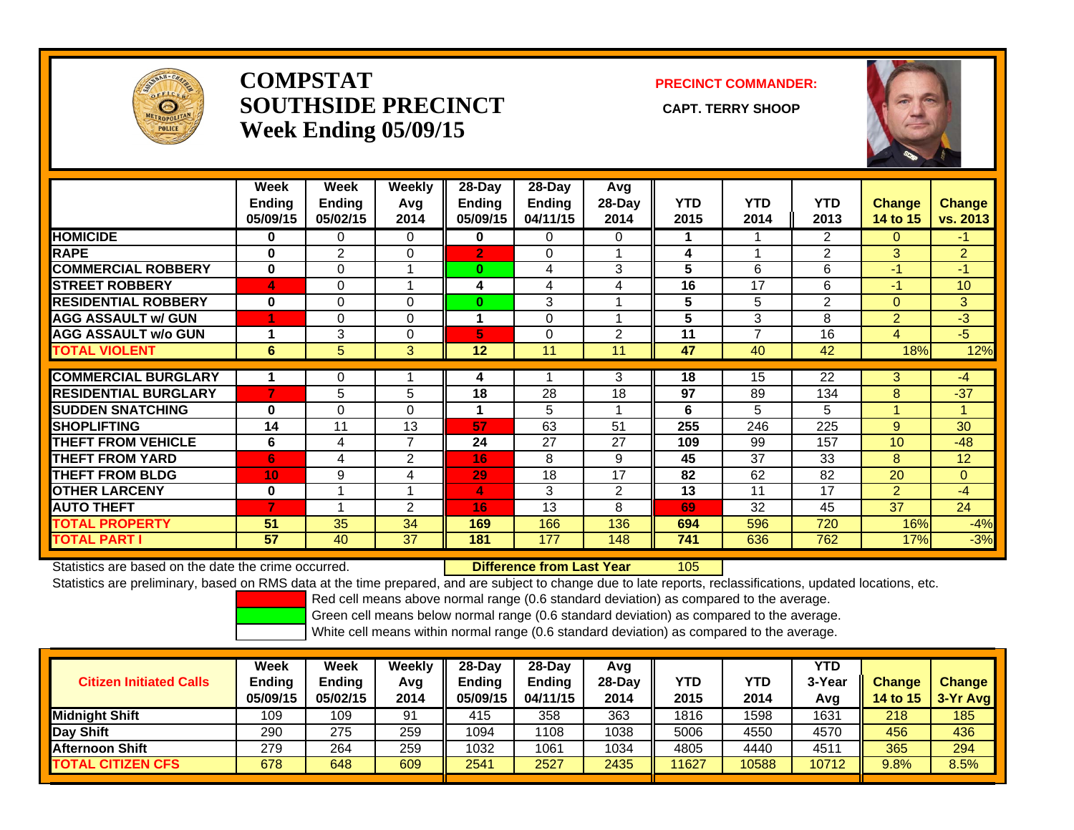

## **COMPSTATSOUTHSIDE PRECINCT** CAPT. TERRY SHOOP **Week Ending 05/09/15**

**PRECINCT COMMANDER:**



|                             | Week<br>Ending<br>05/09/15 | Week<br><b>Ending</b><br>05/02/15 | Weekly<br>Avq<br>2014 | $28$ -Day<br><b>Endina</b><br>05/09/15 | $28$ -Day<br>Ending<br>04/11/15 | Avg<br>28-Day<br>2014 | <b>YTD</b><br>2015 | <b>YTD</b><br>2014 | <b>YTD</b><br>2013 | <b>Change</b><br>14 to 15 | <b>Change</b><br>vs. 2013 |
|-----------------------------|----------------------------|-----------------------------------|-----------------------|----------------------------------------|---------------------------------|-----------------------|--------------------|--------------------|--------------------|---------------------------|---------------------------|
| <b>HOMICIDE</b>             | 0                          | 0                                 | $\Omega$              | 0                                      | $\Omega$                        | 0                     | 1.                 |                    | 2                  | 0                         | -1                        |
| <b>RAPE</b>                 | $\bf{0}$                   | $\overline{2}$                    | $\Omega$              | $\overline{2}$                         | 0                               |                       | 4                  | $\overline{ }$     | $\overline{2}$     | 3                         | $\overline{2}$            |
| <b>COMMERCIAL ROBBERY</b>   | $\bf{0}$                   | $\Omega$                          |                       | $\bf{0}$                               | 4                               | 3                     | 5                  | 6                  | 6                  | $-1$                      | $-1$                      |
| <b>STREET ROBBERY</b>       | 4                          | $\Omega$                          |                       | 4                                      | 4                               | 4                     | 16                 | 17                 | 6                  | -1                        | 10                        |
| <b>RESIDENTIAL ROBBERY</b>  | 0                          | $\Omega$                          | $\Omega$              | $\bf{0}$                               | 3                               |                       | 5                  | 5                  | $\overline{2}$     | $\Omega$                  | 3                         |
| <b>AGG ASSAULT w/ GUN</b>   |                            | $\Omega$                          | $\Omega$              | $\mathbf 1$                            | $\Omega$                        |                       | 5                  | 3                  | 8                  | $\overline{2}$            | $-3$                      |
| <b>AGG ASSAULT w/o GUN</b>  | и                          | 3                                 | $\Omega$              | 5                                      | 0                               | $\overline{2}$        | 11                 | $\overline{7}$     | 16                 | 4                         | $-5$                      |
| <b>TOTAL VIOLENT</b>        | 6                          | 5                                 | 3                     | 12                                     | 11                              | 11                    | 47                 | 40                 | 42                 | 18%                       | 12%                       |
|                             |                            |                                   |                       |                                        |                                 |                       |                    |                    |                    |                           |                           |
| <b>COMMERCIAL BURGLARY</b>  |                            | 0                                 |                       | 4                                      |                                 | 3                     | 18                 | 15                 | 22                 | 3                         | $-4$                      |
| <b>RESIDENTIAL BURGLARY</b> | 7                          | 5                                 | 5                     | 18                                     | 28                              | 18                    | 97                 | 89                 | 134                | 8                         | $-37$                     |
| <b>SUDDEN SNATCHING</b>     | $\bf{0}$                   | $\Omega$                          | $\Omega$              | 1                                      | 5                               |                       | 6                  | 5                  | 5                  |                           | 4                         |
| <b>SHOPLIFTING</b>          | 14                         | 11                                | 13                    | 57                                     | 63                              | 51                    | 255                | 246                | 225                | 9                         | 30                        |
| <b>THEFT FROM VEHICLE</b>   | 6                          | 4                                 | $\overline{7}$        | 24                                     | 27                              | 27                    | 109                | 99                 | 157                | 10                        | $-48$                     |
| <b>THEFT FROM YARD</b>      | 6                          | 4                                 | 2                     | 16                                     | 8                               | 9                     | 45                 | 37                 | 33                 | 8                         | 12                        |
| <b>THEFT FROM BLDG</b>      | 10                         | 9                                 | 4                     | 29                                     | 18                              | 17                    | 82                 | 62                 | 82                 | 20                        | $\Omega$                  |
| <b>OTHER LARCENY</b>        | 0                          |                                   |                       | $\overline{4}$                         | 3                               | 2                     | 13                 | 11                 | 17                 | $\overline{2}$            | $-4$                      |
| <b>AUTO THEFT</b>           |                            |                                   | 2                     | 16                                     | 13                              | 8                     | 69                 | 32                 | 45                 | 37                        | 24                        |
| <b>TOTAL PROPERTY</b>       | 51                         | 35                                | 34                    | 169                                    | 166                             | 136                   | 694                | 596                | 720                | 16%                       | $-4%$                     |
| <b>TOTAL PART I</b>         | 57                         | 40                                | 37                    | 181                                    | 177                             | 148                   | 741                | 636                | 762                | 17%                       | $-3%$                     |

Statistics are based on the date the crime occurred. **Difference from Last Year** 

r 105

Statistics are preliminary, based on RMS data at the time prepared, and are subject to change due to late reports, reclassifications, updated locations, etc.

Red cell means above normal range (0.6 standard deviation) as compared to the average.

Green cell means below normal range (0.6 standard deviation) as compared to the average.

| <b>Citizen Initiated Calls</b> | Week<br><b>Ending</b><br>05/09/15 | Week<br>Ending<br>05/02/15 | Weekly<br>Avg<br>2014 | $28-Dav$<br>Ending<br>05/09/15 | $28$ -Dav<br><b>Ending</b><br>04/11/15 | Avg<br>$28-Dav$<br>2014 | <b>YTD</b><br>2015 | YTD<br>2014 | YTD<br>3-Year<br>Avg | <b>Change</b><br><b>14 to 15</b> | <b>Change</b><br>3-Yr Avg |
|--------------------------------|-----------------------------------|----------------------------|-----------------------|--------------------------------|----------------------------------------|-------------------------|--------------------|-------------|----------------------|----------------------------------|---------------------------|
| <b>I</b> Midniaht Shift        | 109                               | 109                        | 91                    | 415                            | 358                                    | 363                     | 1816               | 1598        | 1631                 | 218                              | 185                       |
| Day Shift                      | 290                               | 275                        | 259                   | 1094                           | 108                                    | 1038                    | 5006               | 4550        | 4570                 | 456                              | 436                       |
| <b>Afternoon Shift</b>         | 279                               | 264                        | 259                   | 1032                           | 1061                                   | 1034                    | 4805               | 4440        | 4511                 | 365                              | 294                       |
| <b>TOTAL CITIZEN CFS</b>       | 678                               | 648                        | 609                   | 2541                           | 2527                                   | 2435                    | 11627              | 10588       | 10712                | 9.8%                             | 8.5%                      |